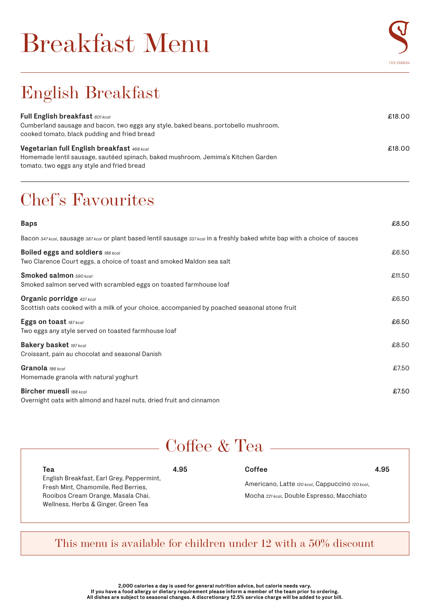# Breakfast Menu



## English Breakfast

| <b>Full English breakfast 601 kcal</b><br>Cumberland sausage and bacon, two eggs any style, baked beans, portobello mushroom,<br>cooked tomato, black pudding and fried bread | £18.00 |
|-------------------------------------------------------------------------------------------------------------------------------------------------------------------------------|--------|
| Vegetarian full English breakfast 468 kcal                                                                                                                                    | £18.00 |
| Homemade lentil sausage, sautéed spinach, baked mushroom, Jemima's Kitchen Garden                                                                                             |        |
| tomato, two eggs any style and fried bread                                                                                                                                    |        |

## Chef's Favourites

| <b>Baps</b>                                                                                                                  | £8.50  |
|------------------------------------------------------------------------------------------------------------------------------|--------|
| Bacon 347 kcal, sausage 387 kcal or plant based lentil sausage 337 kcal in a freshly baked white bap with a choice of sauces |        |
| <b>Boiled eggs and soldiers 186 kcal</b><br>Two Clarence Court eggs, a choice of toast and smoked Maldon sea salt            | £6.50  |
| Smoked salmon 590 kcal<br>Smoked salmon served with scrambled eggs on toasted farmhouse loaf                                 | £11.50 |
| Organic porridge 437 kcal<br>Scottish oats cooked with a milk of your choice, accompanied by poached seasonal stone fruit    | £6.50  |
| Eggs on toast 187 kcal<br>Two eggs any style served on toasted farmhouse loaf                                                | £6.50  |
| <b>Bakery basket 197 kcal</b><br>Croissant, pain au chocolat and seasonal Danish                                             | £8.50  |
| Granola 186 kcal<br>Homemade granola with natural yoghurt                                                                    | £7.50  |
| <b>Bircher muesli</b> 188 kcal<br>Overnight oats with almond and hazel nuts, dried fruit and cinnamon                        | £7.50  |

#### Coffee & Tea

| Теа                                                                              | 4.95 | Coffee                                          | 4.95 |  |
|----------------------------------------------------------------------------------|------|-------------------------------------------------|------|--|
| English Breakfast, Earl Grey, Peppermint,<br>Fresh Mint, Chamomile, Red Berries. |      | Americano, Latte 120 kcal, Cappuccino 120 kcal, |      |  |
| Rooibos Cream Orange, Masala Chai,                                               |      | Mocha 221 kcal, Double Espresso, Macchiato      |      |  |
| Wellness, Herbs & Ginger, Green Tea                                              |      |                                                 |      |  |

#### This menu is available for children under 12 with a 50% discount